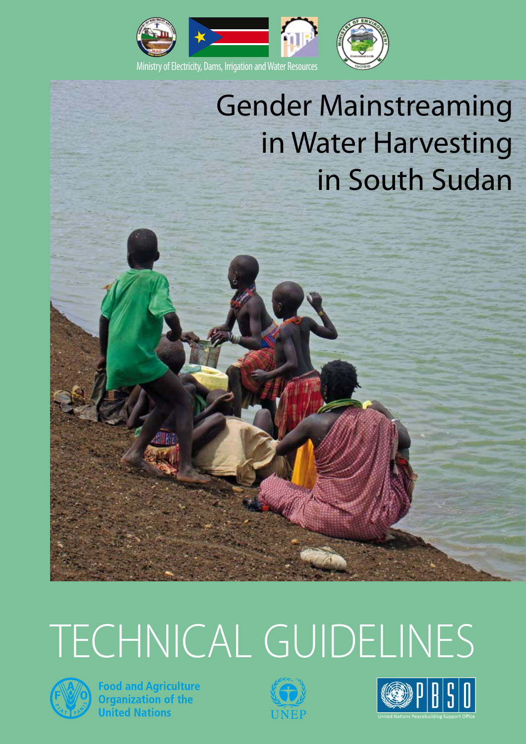

## Gender Mainstreaming in Water Harvesting in South Sudan

# TECHNICAL GUIDELINES



**Food and Agriculture Cod dinangination**<br>**Organization of the**<br>**United Nations** 



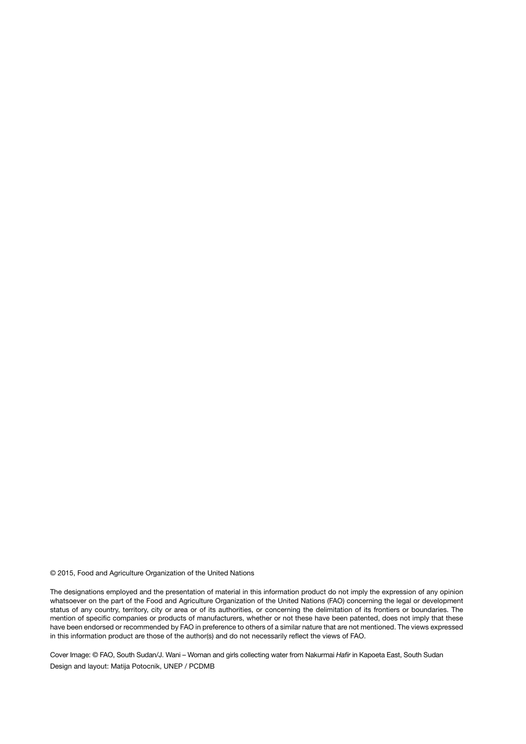© 2015, Food and Agriculture Organization of the United Nations

The designations employed and the presentation of material in this information product do not imply the expression of any opinion whatsoever on the part of the Food and Agriculture Organization of the United Nations (FAO) concerning the legal or development status of any country, territory, city or area or of its authorities, or concerning the delimitation of its frontiers or boundaries. The mention of specific companies or products of manufacturers, whether or not these have been patented, does not imply that these have been endorsed or recommended by FAO in preference to others of a similar nature that are not mentioned. The views expressed in this information product are those of the author(s) and do not necessarily reflect the views of FAO.

Cover Image: © FAO, South Sudan/J. Wani – Woman and girls collecting water from Nakurmai *Hafir* in Kapoeta East, South Sudan Design and layout: Matija Potocnik, UNEP / PCDMB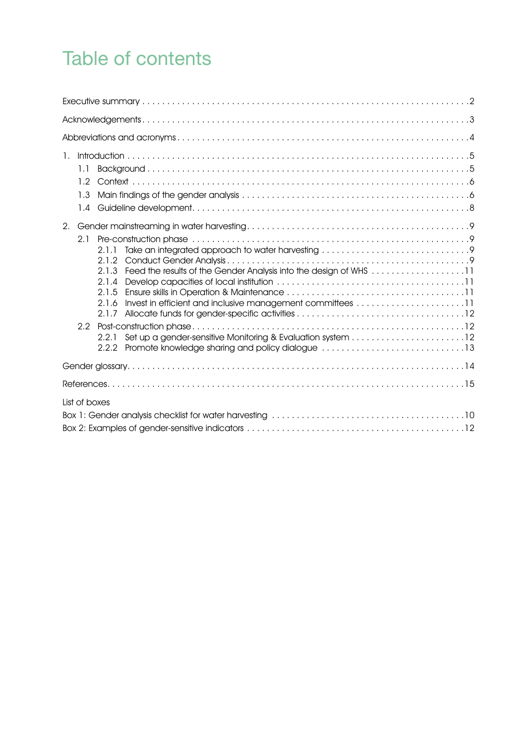### Table of contents

| 1.<br>1.1<br>1.2<br>1.3<br>1.4                                                                                                                                                                                                                                        |
|-----------------------------------------------------------------------------------------------------------------------------------------------------------------------------------------------------------------------------------------------------------------------|
| 2.<br>2.1<br>2.1.1<br>Feed the results of the Gender Analysis into the design of WHS 11<br>2.1.3<br>2.1.4<br>2.1.5<br>Invest in efficient and inclusive management committees 11<br>2.1.6<br>2.1.7<br>2.2.1<br>2.2.2 Promote knowledge sharing and policy dialogue 13 |
|                                                                                                                                                                                                                                                                       |
|                                                                                                                                                                                                                                                                       |
| List of boxes                                                                                                                                                                                                                                                         |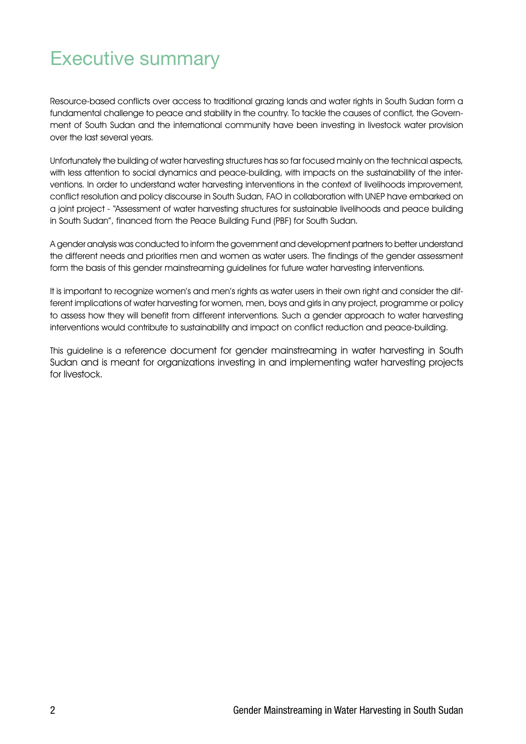### Executive summary

Resource-based conflicts over access to traditional grazing lands and water rights in South Sudan form a fundamental challenge to peace and stability in the country. To tackle the causes of conflict, the Government of South Sudan and the international community have been investing in livestock water provision over the last several years.

Unfortunately the building of water harvesting structures has so far focused mainly on the technical aspects, with less attention to social dynamics and peace-building, with impacts on the sustainability of the interventions. In order to understand water harvesting interventions in the context of livelihoods improvement, conflict resolution and policy discourse in South Sudan, FAO in collaboration with UNEP have embarked on a joint project - "Assessment of water harvesting structures for sustainable livelihoods and peace building in South Sudan", financed from the Peace Building Fund (PBF) for South Sudan.

A gender analysis was conducted to inform the government and development partners to better understand the different needs and priorities men and women as water users. The findings of the gender assessment form the basis of this gender mainstreaming guidelines for future water harvesting interventions.

It is important to recognize women's and men's rights as water users in their own right and consider the different implications of water harvesting for women, men, boys and girls in any project, programme or policy to assess how they will benefit from different interventions. Such a gender approach to water harvesting interventions would contribute to sustainability and impact on conflict reduction and peace-building.

This guideline is a reference document for gender mainstreaming in water harvesting in South Sudan and is meant for organizations investing in and implementing water harvesting projects for livestock.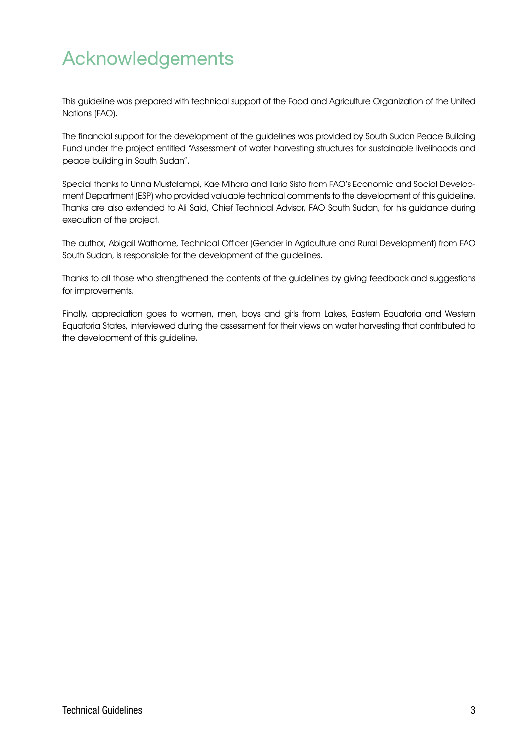### Acknowledgements

This guideline was prepared with technical support of the Food and Agriculture Organization of the United Nations (FAO).

The financial support for the development of the guidelines was provided by South Sudan Peace Building Fund under the project entitled "Assessment of water harvesting structures for sustainable livelihoods and peace building in South Sudan".

Special thanks to Unna Mustalampi, Kae Mihara and Ilaria Sisto from FAO's Economic and Social Development Department (ESP) who provided valuable technical comments to the development of this guideline. Thanks are also extended to Ali Said, Chief Technical Advisor, FAO South Sudan, for his guidance during execution of the project.

The author, Abigail Wathome, Technical Officer (Gender in Agriculture and Rural Development) from FAO South Sudan, is responsible for the development of the guidelines.

Thanks to all those who strengthened the contents of the guidelines by giving feedback and suggestions for improvements.

Finally, appreciation goes to women, men, boys and girls from Lakes, Eastern Equatoria and Western Equatoria States, interviewed during the assessment for their views on water harvesting that contributed to the development of this guideline.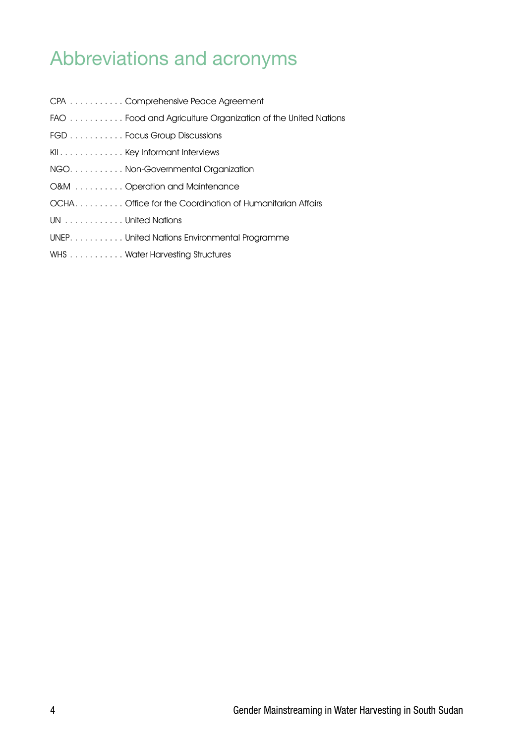### Abbreviations and acronyms

| CPA Comprehensive Peace Agreement                           |
|-------------------------------------------------------------|
| FAO Food and Agriculture Organization of the United Nations |
| FGD Focus Group Discussions                                 |
| KII Key Informant Interviews                                |
| NGO. Non-Governmental Organization                          |
| O&M Operation and Maintenance                               |
| OCHAOffice for the Coordination of Humanitarian Affairs     |
| UN United Nations                                           |
| UNEP. United Nations Environmental Programme                |
| WHS Water Harvesting Structures                             |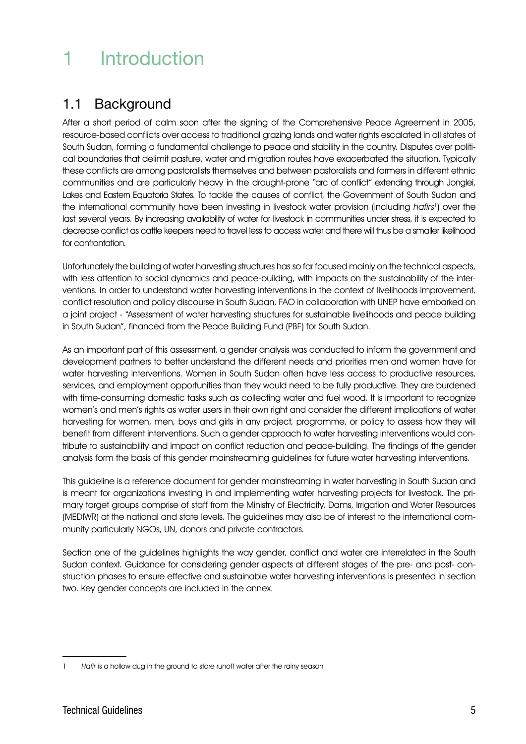### 1 Introduction

#### 1.1 Background

After a short period of calm soon after the signing of the Comprehensive Peace Agreement in 2005, resource-based conflicts over access to traditional grazing lands and water rights escalated in all states of South Sudan, forming a fundamental challenge to peace and stability in the country. Disputes over political boundaries that delimit pasture, water and migration routes have exacerbated the situation. Typically these conflicts are among pastoralists themselves and between pastoralists and farmers in different ethnic communities and are particularly heavy in the drought-prone "arc of conflict" extending through Jonglei, Lakes and Eastern Equatoria States. To tackle the causes of conflict, the Government of South Sudan and the international community have been investing in livestock water provision (including hafirs<sup>1</sup>) over the last several years. By increasing availability of water for livestock in communities under stress, it is expected to decrease conflict as cattle keepers need to travel less to access water and there will thus be a smaller likelihood for confrontation.

Unfortunately the building of water harvesting structures has so far focused mainly on the technical aspects, with less attention to social dynamics and peace-building, with impacts on the sustainability of the interventions. In order to understand water harvesting interventions in the context of livelihoods improvement, conflict resolution and policy discourse in South Sudan, FAO in collaboration with UNEP have embarked on a joint project - "Assessment of water harvesting structures for sustainable livelihoods and peace building in South Sudan", financed from the Peace Building Fund (PBF) for South Sudan.

As an important part of this assessment, a gender analysis was conducted to inform the government and development partners to better understand the different needs and priorities men and women have for water harvesting interventions. Women in South Sudan often have less access to productive resources, services, and employment opportunities than they would need to be fully productive. They are burdened with time-consuming domestic tasks such as collecting water and fuel wood. It is important to recognize women's and men's rights as water users in their own right and consider the different implications of water harvesting for women, men, boys and girls in any project, programme, or policy to assess how they will benefit from different interventions. Such a gender approach to water harvesting interventions would contribute to sustainability and impact on conflict reduction and peace-building. The findings of the gender analysis form the basis of this gender mainstreaming guidelines for future water harvesting interventions.

This guideline is a reference document for gender mainstreaming in water harvesting in South Sudan and is meant for organizations investing in and implementing water harvesting projects for livestock. The primary target groups comprise of staff from the Ministry of Electricity, Dams, Irrigation and Water Resources (MEDIWR) at the national and state levels. The guidelines may also be of interest to the international community particularly NGOs, UN, donors and private contractors.

Section one of the guidelines highlights the way gender, conflict and water are interrelated in the South Sudan context. Guidance for considering gender aspects at different stages of the pre- and post- construction phases to ensure effective and sustainable water harvesting interventions is presented in section two. Key gender concepts are included in the annex.

<sup>1</sup> Hafir is a hollow dug in the ground to store runoff water after the rainy season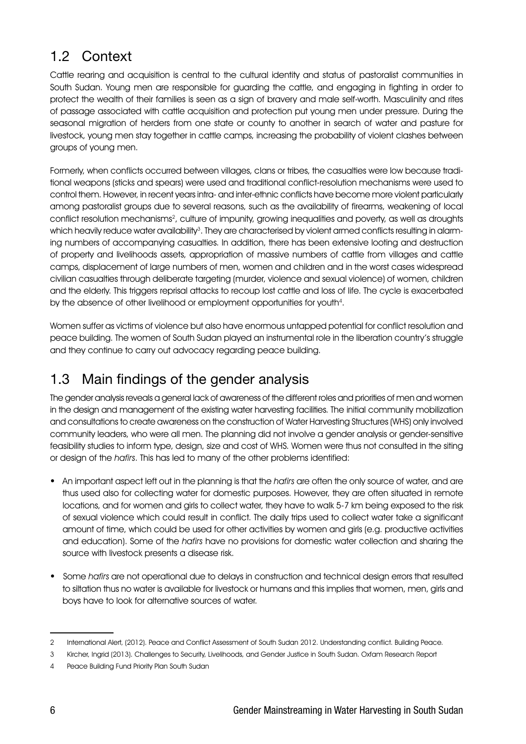#### 1.2 Context

Cattle rearing and acquisition is central to the cultural identity and status of pastoralist communities in South Sudan. Young men are responsible for guarding the cattle, and engaging in fighting in order to protect the wealth of their families is seen as a sign of bravery and male self-worth. Masculinity and rites of passage associated with cattle acquisition and protection put young men under pressure. During the seasonal migration of herders from one state or county to another in search of water and pasture for livestock, young men stay together in cattle camps, increasing the probability of violent clashes between groups of young men.

Formerly, when conflicts occurred between villages, clans or tribes, the casualties were low because traditional weapons (sticks and spears) were used and traditional conflict-resolution mechanisms were used to control them. However, in recent years intra- and inter-ethnic conflicts have become more violent particularly among pastoralist groups due to several reasons, such as the availability of firearms, weakening of local conflict resolution mechanisms<sup>2</sup>, culture of impunity, growing inequalities and poverty, as well as droughts which heavily reduce water availability<sup>3</sup>. They are characterised by violent armed conflicts resulting in alarming numbers of accompanying casualties. In addition, there has been extensive looting and destruction of property and livelihoods assets, appropriation of massive numbers of cattle from villages and cattle camps, displacement of large numbers of men, women and children and in the worst cases widespread civilian casualties through deliberate targeting (murder, violence and sexual violence) of women, children and the elderly. This triggers reprisal attacks to recoup lost cattle and loss of life. The cycle is exacerbated by the absence of other livelihood or employment opportunities for youth4.

Women suffer as victims of violence but also have enormous untapped potential for conflict resolution and peace building. The women of South Sudan played an instrumental role in the liberation country's struggle and they continue to carry out advocacy regarding peace building.

#### 1.3 Main findings of the gender analysis

The gender analysis reveals a general lack of awareness of the different roles and priorities of men and women in the design and management of the existing water harvesting facilities. The initial community mobilization and consultations to create awareness on the construction of Water Harvesting Structures (WHS) only involved community leaders, who were all men. The planning did not involve a gender analysis or gender-sensitive feasibility studies to inform type, design, size and cost of WHS. Women were thus not consulted in the siting or design of the hafirs. This has led to many of the other problems identified:

- An important aspect left out in the planning is that the hafirs are often the only source of water, and are thus used also for collecting water for domestic purposes. However, they are often situated in remote locations, and for women and girls to collect water, they have to walk 5-7 km being exposed to the risk of sexual violence which could result in conflict. The daily trips used to collect water take a significant amount of time, which could be used for other activities by women and girls (e.g. productive activities and education). Some of the hafirs have no provisions for domestic water collection and sharing the source with livestock presents a disease risk.
- Some hafirs are not operational due to delays in construction and technical design errors that resulted to siltation thus no water is available for livestock or humans and this implies that women, men, girls and boys have to look for alternative sources of water.

<sup>2</sup> International Alert, (2012). Peace and Conflict Assessment of South Sudan 2012. Understanding conflict. Building Peace.

<sup>3</sup> Kircher, Ingrid (2013). Challenges to Security, Livelihoods, and Gender Justice in South Sudan. Oxfam Research Report

<sup>4</sup> Peace Building Fund Priority Plan South Sudan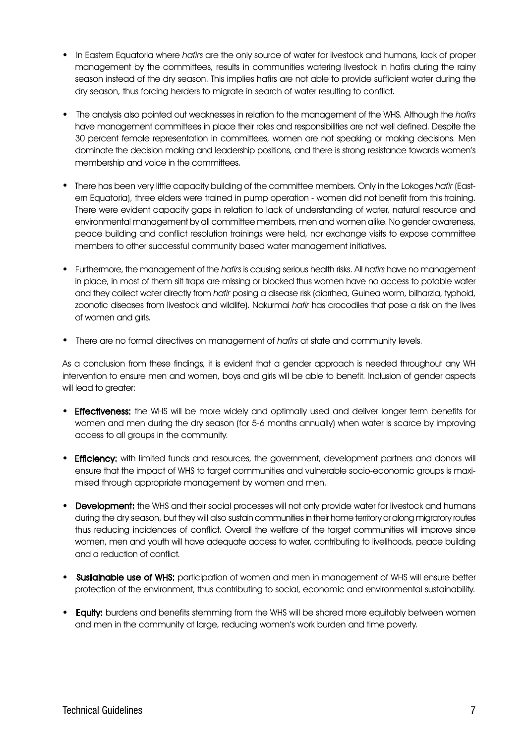- In Eastern Equatoria where hafirs are the only source of water for livestock and humans, lack of proper management by the committees, results in communities watering livestock in hafirs during the rainy season instead of the dry season. This implies hafirs are not able to provide sufficient water during the dry season, thus forcing herders to migrate in search of water resulting to conflict.
- The analysis also pointed out weaknesses in relation to the management of the WHS. Although the hafirs have management committees in place their roles and responsibilities are not well defined. Despite the 30 percent female representation in committees, women are not speaking or making decisions. Men dominate the decision making and leadership positions, and there is strong resistance towards women's membership and voice in the committees.
- There has been very little capacity building of the committee members. Only in the Lokoges hafir (Eastern Equatoria), three elders were trained in pump operation - women did not benefit from this training. There were evident capacity gaps in relation to lack of understanding of water, natural resource and environmental management by all committee members, men and women alike. No gender awareness, peace building and conflict resolution trainings were held, nor exchange visits to expose committee members to other successful community based water management initiatives.
- Furthermore, the management of the hafirs is causing serious health risks. All hafirs have no management in place, in most of them silt traps are missing or blocked thus women have no access to potable water and they collect water directly from hafir posing a disease risk (diarrhea, Guinea worm, bilharzia, typhoid, zoonotic diseases from livestock and wildlife). Nakurmai hafir has crocodiles that pose a risk on the lives of women and girls.
- There are no formal directives on management of hafirs at state and community levels.

As a conclusion from these findings, it is evident that a gender approach is needed throughout any WH intervention to ensure men and women, boys and girls will be able to benefit. Inclusion of gender aspects will lead to greater:

- **Effectiveness:** the WHS will be more widely and optimally used and deliver longer term benefits for women and men during the dry season (for 5-6 months annually) when water is scarce by improving access to all groups in the community.
- **Efficiency:** with limited funds and resources, the government, development partners and donors will ensure that the impact of WHS to target communities and vulnerable socio-economic groups is maximised through appropriate management by women and men.
- Development: the WHS and their social processes will not only provide water for livestock and humans during the dry season, but they will also sustain communities in their home territory or along migratory routes thus reducing incidences of conflict. Overall the welfare of the target communities will improve since women, men and youth will have adequate access to water, contributing to livelihoods, peace building and a reduction of conflict.
- Sustainable use of WHS: participation of women and men in management of WHS will ensure better protection of the environment, thus contributing to social, economic and environmental sustainability.
- **Equity:** burdens and benefits stemming from the WHS will be shared more equitably between women and men in the community at large, reducing women's work burden and time poverty.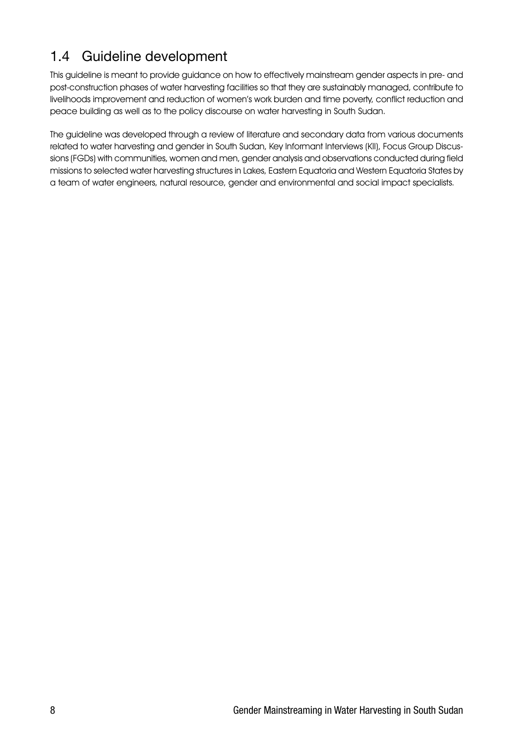#### 1.4 Guideline development

This guideline is meant to provide guidance on how to effectively mainstream gender aspects in pre- and post-construction phases of water harvesting facilities so that they are sustainably managed, contribute to livelihoods improvement and reduction of women's work burden and time poverty, conflict reduction and peace building as well as to the policy discourse on water harvesting in South Sudan.

The guideline was developed through a review of literature and secondary data from various documents related to water harvesting and gender in South Sudan, Key Informant Interviews (KII), Focus Group Discussions (FGDs) with communities, women and men, gender analysis and observations conducted during field missions to selected water harvesting structures in Lakes, Eastern Equatoria and Western Equatoria States by a team of water engineers, natural resource, gender and environmental and social impact specialists.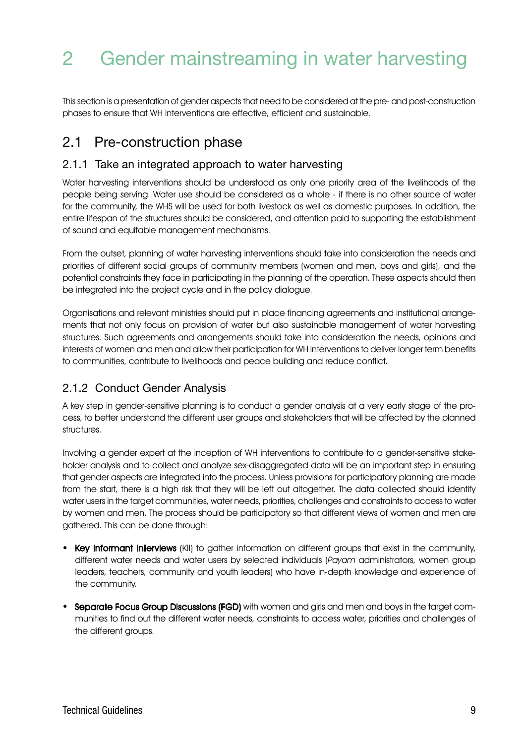### 2 Gender mainstreaming in water harvesting

This section is a presentation of gender aspects that need to be considered at the pre- and post-construction phases to ensure that WH interventions are effective, efficient and sustainable.

#### 2.1 Pre-construction phase

#### 2.1.1 Take an integrated approach to water harvesting

Water harvesting interventions should be understood as only one priority area of the livelihoods of the people being serving. Water use should be considered as a whole - if there is no other source of water for the community, the WHS will be used for both livestock as well as domestic purposes. In addition, the entire lifespan of the structures should be considered, and attention paid to supporting the establishment of sound and equitable management mechanisms.

From the outset, planning of water harvesting interventions should take into consideration the needs and priorities of different social groups of community members (women and men, boys and girls), and the potential constraints they face in participating in the planning of the operation. These aspects should then be integrated into the project cycle and in the policy dialogue.

Organisations and relevant ministries should put in place financing agreements and institutional arrangements that not only focus on provision of water but also sustainable management of water harvesting structures. Such agreements and arrangements should take into consideration the needs, opinions and interests of women and men and allow their participation for WH interventions to deliver longer term benefits to communities, contribute to livelihoods and peace building and reduce conflict.

#### 2.1.2 Conduct Gender Analysis

A key step in gender-sensitive planning is to conduct a gender analysis at a very early stage of the process, to better understand the different user groups and stakeholders that will be affected by the planned structures.

Involving a gender expert at the inception of WH interventions to contribute to a gender-sensitive stakeholder analysis and to collect and analyze sex-disaggregated data will be an important step in ensuring that gender aspects are integrated into the process. Unless provisions for participatory planning are made from the start, there is a high risk that they will be left out altogether. The data collected should identify water users in the target communities, water needs, priorities, challenges and constraints to access to water by women and men. The process should be participatory so that different views of women and men are gathered. This can be done through:

- Key Informant Interviews (KII) to gather information on different groups that exist in the community, different water needs and water users by selected individuals (Payam administrators, women group leaders, teachers, community and youth leaders) who have in-depth knowledge and experience of the community.
- Separate Focus Group Discussions (FGD) with women and girls and men and boys in the target communities to find out the different water needs, constraints to access water, priorities and challenges of the different groups.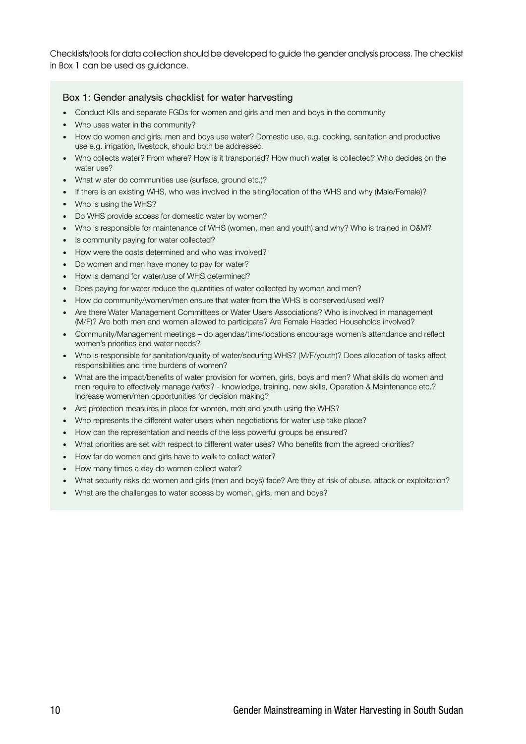Checklists/tools for data collection should be developed to guide the gender analysis process. The checklist in Box 1 can be used as guidance.

#### Box 1: Gender analysis checklist for water harvesting

- Conduct KIIs and separate FGDs for women and girls and men and boys in the community
- . Who uses water in the community?
- How do women and girls, men and boys use water? Domestic use, e.g. cooking, sanitation and productive use e.g. irrigation, livestock, should both be addressed.
- Who collects water? From where? How is it transported? How much water is collected? Who decides on the water use?
- What w ater do communities use (surface, ground etc.)?
- If there is an existing WHS, who was involved in the siting/location of the WHS and why (Male/Female)?
- Who is using the WHS?
- Do WHS provide access for domestic water by women?
- Who is responsible for maintenance of WHS (women, men and youth) and why? Who is trained in O&M?
- Is community paying for water collected?
- How were the costs determined and who was involved?
- Do women and men have money to pay for water?
- How is demand for water/use of WHS determined?
- Does paying for water reduce the quantities of water collected by women and men?
- How do community/women/men ensure that water from the WHS is conserved/used well?
- Are there Water Management Committees or Water Users Associations? Who is involved in management (M/F)? Are both men and women allowed to participate? Are Female Headed Households involved?
- Community/Management meetings do agendas/time/locations encourage women's attendance and reflect women's priorities and water needs?
- Who is responsible for sanitation/quality of water/securing WHS? (M/F/youth)? Does allocation of tasks affect responsibilities and time burdens of women?
- What are the impact/benefits of water provision for women, girls, boys and men? What skills do women and men require to effectively manage *hafirs*? - knowledge, training, new skills, Operation & Maintenance etc.? Increase women/men opportunities for decision making?
- Are protection measures in place for women, men and youth using the WHS?
- Who represents the different water users when negotiations for water use take place?
- How can the representation and needs of the less powerful groups be ensured?
- What priorities are set with respect to different water uses? Who benefits from the agreed priorities?
- How far do women and girls have to walk to collect water?
- How many times a day do women collect water?
- What security risks do women and girls (men and boys) face? Are they at risk of abuse, attack or exploitation?
- What are the challenges to water access by women, girls, men and boys?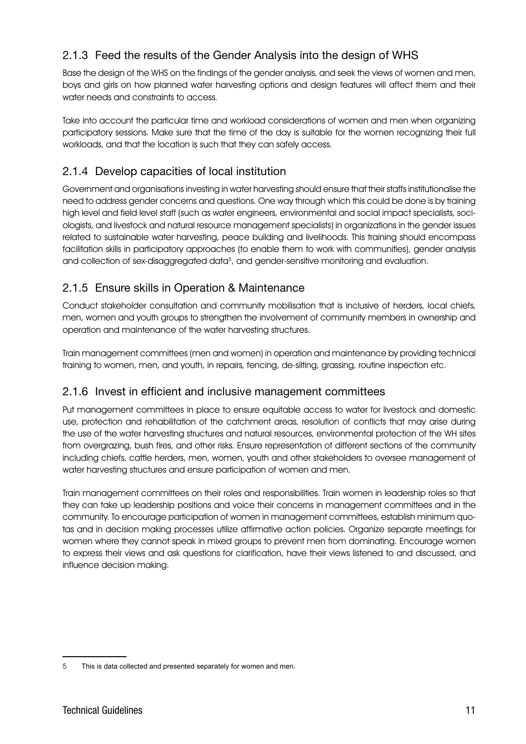#### 2.1.3 Feed the results of the Gender Analysis into the design of WHS

Base the design of the WHS on the findings of the gender analysis, and seek the views of women and men, boys and girls on how planned water harvesting options and design features will affect them and their water needs and constraints to access.

Take into account the particular time and workload considerations of women and men when organizing participatory sessions. Make sure that the time of the day is suitable for the women recognizing their full workloads, and that the location is such that they can safely access.

#### 2.1.4 Develop capacities of local institution

Government and organisations investing in water harvesting should ensure that their staffs institutionalise the need to address gender concerns and questions. One way through which this could be done is by training high level and field level staff (such as water engineers, environmental and social impact specialists, sociologists, and livestock and natural resource management specialists) in organizations in the gender issues related to sustainable water harvesting, peace building and livelihoods. This training should encompass facilitation skills in participatory approaches (to enable them to work with communities), gender analysis and collection of sex-disaggregated data<sup>5</sup>, and gender-sensitive monitoring and evaluation.

#### 2.1.5 Ensure skills in Operation & Maintenance

Conduct stakeholder consultation and community mobilisation that is inclusive of herders, local chiefs, men, women and youth groups to strengthen the involvement of community members in ownership and operation and maintenance of the water harvesting structures.

Train management committees (men and women) in operation and maintenance by providing technical training to women, men, and youth, in repairs, fencing, de-silting, grassing, routine inspection etc.

#### 2.1.6 Invest in efficient and inclusive management committees

Put management committees in place to ensure equitable access to water for livestock and domestic use, protection and rehabilitation of the catchment areas, resolution of conflicts that may arise during the use of the water harvesting structures and natural resources, environmental protection of the WH sites from overgrazing, bush fires, and other risks. Ensure representation of different sections of the community including chiefs, cattle herders, men, women, youth and other stakeholders to oversee management of water harvesting structures and ensure participation of women and men.

Train management committees on their roles and responsibilities. Train women in leadership roles so that they can take up leadership positions and voice their concerns in management committees and in the community. To encourage participation of women in management committees, establish minimum quotas and in decision making processes utilize affirmative action policies. Organize separate meetings for women where they cannot speak in mixed groups to prevent men from dominating. Encourage women to express their views and ask questions for clarification, have their views listened to and discussed, and influence decision making.

<sup>5</sup> This is data collected and presented separately for women and men.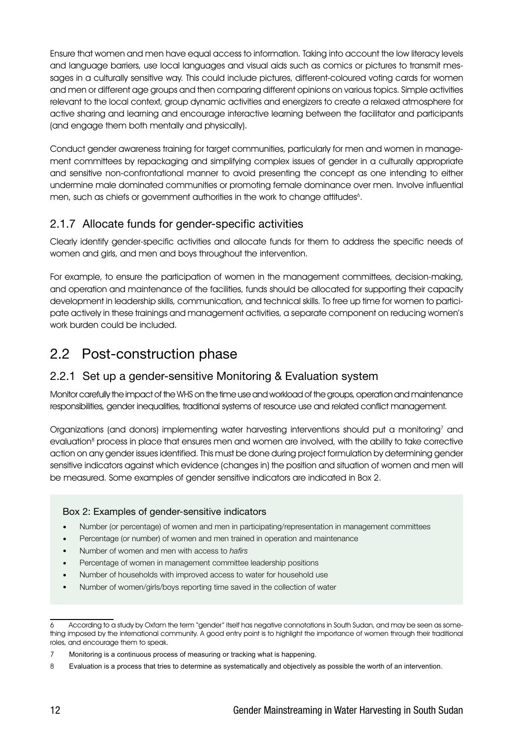Ensure that women and men have equal access to information. Taking into account the low literacy levels and language barriers, use local languages and visual aids such as comics or pictures to transmit messages in a culturally sensitive way. This could include pictures, different-coloured voting cards for women and men or different age groups and then comparing different opinions on various topics. Simple activities relevant to the local context, group dynamic activities and energizers to create a relaxed atmosphere for active sharing and learning and encourage interactive learning between the facilitator and participants (and engage them both mentally and physically).

Conduct gender awareness training for target communities, particularly for men and women in management committees by repackaging and simplifying complex issues of gender in a culturally appropriate and sensitive non-confrontational manner to avoid presenting the concept as one intending to either undermine male dominated communities or promoting female dominance over men. Involve influential men, such as chiefs or government authorities in the work to change attitudes<sup>6</sup>.

#### 2.1.7 Allocate funds for gender-specific activities

Clearly identify gender-specific activities and allocate funds for them to address the specific needs of women and girls, and men and boys throughout the intervention.

For example, to ensure the participation of women in the management committees, decision-making, and operation and maintenance of the facilities, funds should be allocated for supporting their capacity development in leadership skills, communication, and technical skills. To free up time for women to participate actively in these trainings and management activities, a separate component on reducing women's work burden could be included.

#### 2.2 Post-construction phase

#### 2.2.1 Set up a gender-sensitive Monitoring & Evaluation system

Monitor carefully the impact of the WHS on the time use and workload of the groups, operation and maintenance responsibilities, gender inequalities, traditional systems of resource use and related conflict management.

Organizations (and donors) implementing water harvesting interventions should put a monitoring<sup>7</sup> and evaluation<sup>8</sup> process in place that ensures men and women are involved, with the ability to take corrective action on any gender issues identified. This must be done during project formulation by determining gender sensitive indicators against which evidence (changes in) the position and situation of women and men will be measured. Some examples of gender sensitive indicators are indicated in Box 2.

#### Box 2: Examples of gender-sensitive indicators

- Number (or percentage) of women and men in participating/representation in management committees
- Percentage (or number) of women and men trained in operation and maintenance
- Number of women and men with access to *hafirs*
- Percentage of women in management committee leadership positions
- Number of households with improved access to water for household use
- Number of women/girls/boys reporting time saved in the collection of water

<sup>6</sup> According to a study by Oxfam the term "gender" itself has negative connotations in South Sudan, and may be seen as something imposed by the international community. A good entry point is to highlight the importance of women through their traditional roles, and encourage them to speak.

<sup>7</sup> Monitoring is a continuous process of measuring or tracking what is happening.

<sup>8</sup> Evaluation is a process that tries to determine as systematically and objectively as possible the worth of an intervention.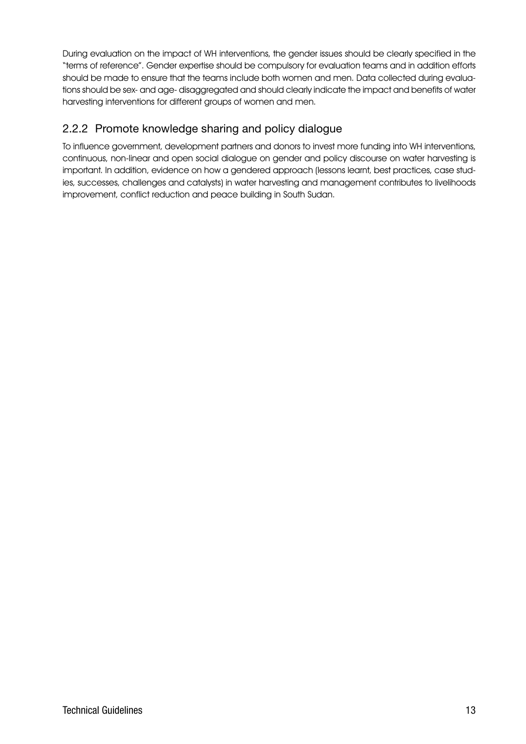During evaluation on the impact of WH interventions, the gender issues should be clearly specified in the "terms of reference". Gender expertise should be compulsory for evaluation teams and in addition efforts should be made to ensure that the teams include both women and men. Data collected during evaluations should be sex- and age- disaggregated and should clearly indicate the impact and benefits of water harvesting interventions for different groups of women and men.

#### 2.2.2 Promote knowledge sharing and policy dialogue

To influence government, development partners and donors to invest more funding into WH interventions, continuous, non-linear and open social dialogue on gender and policy discourse on water harvesting is important. In addition, evidence on how a gendered approach (lessons learnt, best practices, case studies, successes, challenges and catalysts) in water harvesting and management contributes to livelihoods improvement, conflict reduction and peace building in South Sudan.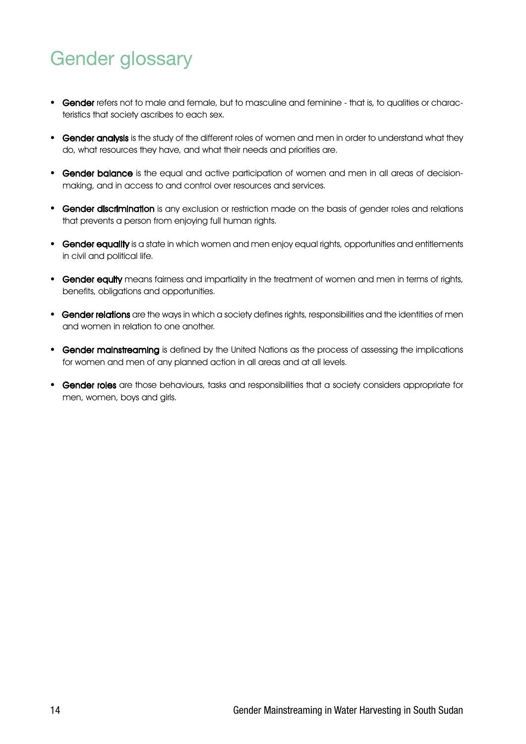### Gender glossary

- Gender refers not to male and female, but to masculine and feminine that is, to qualities or characteristics that society ascribes to each sex.
- Gender analysis is the study of the different roles of women and men in order to understand what they do, what resources they have, and what their needs and priorities are.
- Gender balance is the equal and active participation of women and men in all areas of decisionmaking, and in access to and control over resources and services.
- Gender discrimination is any exclusion or restriction made on the basis of gender roles and relations that prevents a person from enjoying full human rights.
- Gender equality is a state in which women and men enjoy equal rights, opportunities and entitlements in civil and political life.
- Gender equity means fairness and impartiality in the treatment of women and men in terms of rights, benefits, obligations and opportunities.
- Gender relations are the ways in which a society defines rights, responsibilities and the identities of men and women in relation to one another.
- Gender mainstreaming is defined by the United Nations as the process of assessing the implications for women and men of any planned action in all areas and at all levels.
- Gender roles are those behaviours, tasks and responsibilities that a society considers appropriate for men, women, boys and girls.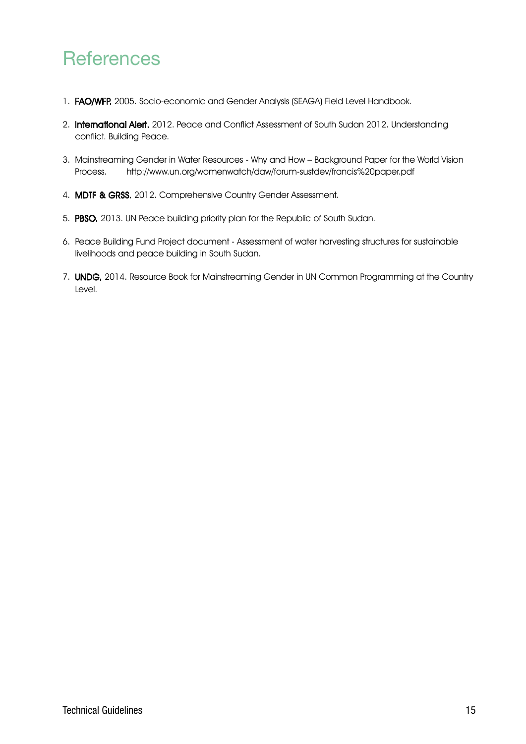### **References**

- 1. FAO/WFP. 2005. Socio-economic and Gender Analysis (SEAGA) Field Level Handbook.
- 2. International Alert. 2012. Peace and Conflict Assessment of South Sudan 2012. Understanding conflict. Building Peace.
- 3. Mainstreaming Gender in Water Resources Why and How Background Paper for the World Vision Process. http://www.un.org/womenwatch/daw/forum-sustdev/francis%20paper.pdf
- 4. MDTF & GRSS. 2012. Comprehensive Country Gender Assessment.
- 5. PBSO. 2013. UN Peace building priority plan for the Republic of South Sudan.
- 6. Peace Building Fund Project document Assessment of water harvesting structures for sustainable livelihoods and peace building in South Sudan.
- 7. **UNDG.** 2014. Resource Book for Mainstreaming Gender in UN Common Programming at the Country Level.